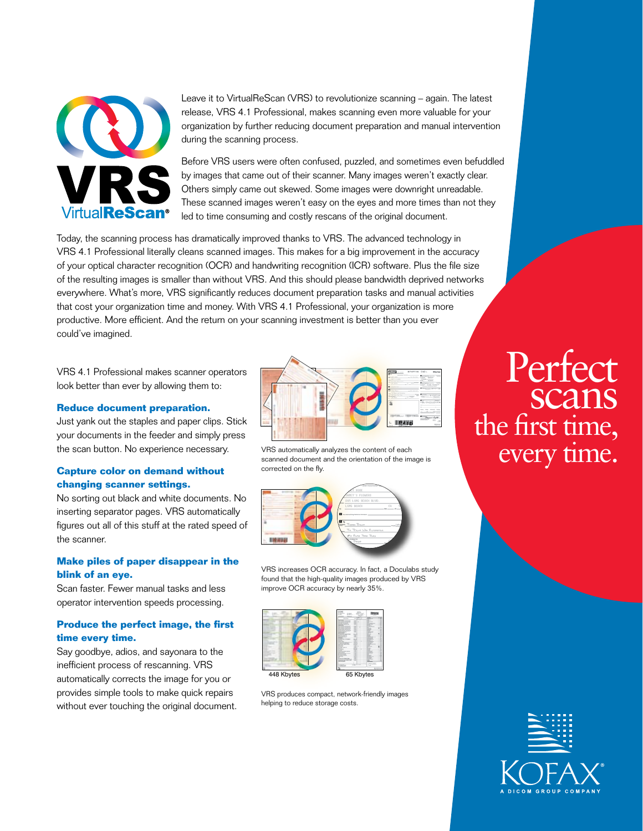

Leave it to VirtualReScan (VRS) to revolutionize scanning – again. The latest release, VRS 4.1 Professional, makes scanning even more valuable for your organization by further reducing document preparation and manual intervention during the scanning process.

Before VRS users were often confused, puzzled, and sometimes even befuddled by images that came out of their scanner. Many images weren't exactly clear. Others simply came out skewed. Some images were downright unreadable. These scanned images weren't easy on the eyes and more times than not they led to time consuming and costly rescans of the original document.

Today, the scanning process has dramatically improved thanks to VRS. The advanced technology in VRS 4.1 Professional literally cleans scanned images. This makes for a big improvement in the accuracy of your optical character recognition (OCR) and handwriting recognition (ICR) software. Plus the file size of the resulting images is smaller than without VRS. And this should please bandwidth deprived networks everywhere. What's more, VRS significantly reduces document preparation tasks and manual activities that cost your organization time and money. With VRS 4.1 Professional, your organization is more productive. More efficient. And the return on your scanning investment is better than you ever could've imagined.

VRS 4.1 Professional makes scanner operators look better than ever by allowing them to:

#### **Reduce document preparation.**

Just yank out the staples and paper clips. Stick your documents in the feeder and simply press the scan button. No experience necessary.

#### **Capture color on demand without changing scanner settings.**

No sorting out black and white documents. No inserting separator pages. VRS automatically figures out all of this stuff at the rated speed of the scanner.

#### **Make piles of paper disappear in the blink of an eye.**

Scan faster. Fewer manual tasks and less operator intervention speeds processing.

#### **Produce the perfect image, the first time every time.**

Say goodbye, adios, and sayonara to the inefficient process of rescanning. VRS automatically corrects the image for you or provides simple tools to make quick repairs without ever touching the original document.



VRS automatically analyzes the content of each scanned document and the orientation of the image is corrected on the fly.



VRS increases OCR accuracy. In fact, a Doculabs study found that the high-quality images produced by VRS improve OCR accuracy by nearly 35%.



VRS produces compact, network-friendly images helping to reduce storage costs.

# Perfect scans the first time, every time.